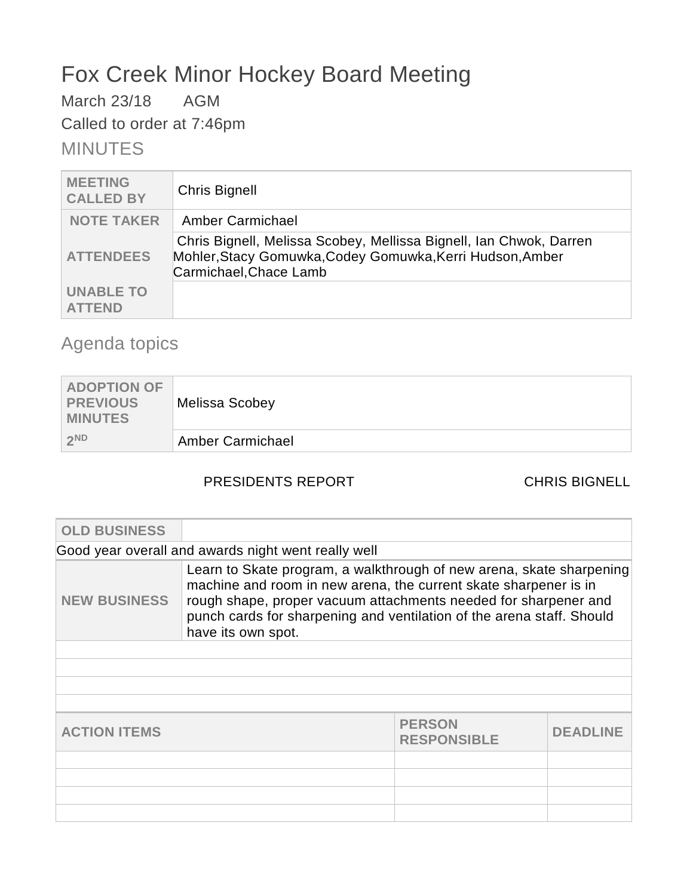# Fox Creek Minor Hockey Board Meeting

March 23/18 AGM

Called to order at 7:46pm

MINUTES

| <b>MEETING</b><br><b>CALLED BY</b> | <b>Chris Bignell</b>                                                                                                                                      |
|------------------------------------|-----------------------------------------------------------------------------------------------------------------------------------------------------------|
| <b>NOTE TAKER</b>                  | <b>Amber Carmichael</b>                                                                                                                                   |
| <b>ATTENDEES</b>                   | Chris Bignell, Melissa Scobey, Mellissa Bignell, Ian Chwok, Darren<br>Mohler, Stacy Gomuwka, Codey Gomuwka, Kerri Hudson, Amber<br>Carmichael, Chace Lamb |
| <b>UNABLE TO</b><br><b>ATTEND</b>  |                                                                                                                                                           |

# Agenda topics

| <b>ADOPTION OF</b><br><b>PREVIOUS</b><br><b>MINUTES</b> | Melissa Scobey   |
|---------------------------------------------------------|------------------|
| 2ND                                                     | Amber Carmichael |

# PRESIDENTS REPORT CHRIS BIGNELL

| <b>OLD BUSINESS</b> |                                                                                                                                                                                                                                                                                                            |                                     |                 |  |  |
|---------------------|------------------------------------------------------------------------------------------------------------------------------------------------------------------------------------------------------------------------------------------------------------------------------------------------------------|-------------------------------------|-----------------|--|--|
|                     | Good year overall and awards night went really well                                                                                                                                                                                                                                                        |                                     |                 |  |  |
| <b>NEW BUSINESS</b> | Learn to Skate program, a walkthrough of new arena, skate sharpening<br>machine and room in new arena, the current skate sharpener is in<br>rough shape, proper vacuum attachments needed for sharpener and<br>punch cards for sharpening and ventilation of the arena staff. Should<br>have its own spot. |                                     |                 |  |  |
|                     |                                                                                                                                                                                                                                                                                                            |                                     |                 |  |  |
|                     |                                                                                                                                                                                                                                                                                                            |                                     |                 |  |  |
|                     |                                                                                                                                                                                                                                                                                                            |                                     |                 |  |  |
|                     |                                                                                                                                                                                                                                                                                                            |                                     |                 |  |  |
| <b>ACTION ITEMS</b> |                                                                                                                                                                                                                                                                                                            | <b>PERSON</b><br><b>RESPONSIBLE</b> | <b>DEADLINE</b> |  |  |
|                     |                                                                                                                                                                                                                                                                                                            |                                     |                 |  |  |
|                     |                                                                                                                                                                                                                                                                                                            |                                     |                 |  |  |
|                     |                                                                                                                                                                                                                                                                                                            |                                     |                 |  |  |
|                     |                                                                                                                                                                                                                                                                                                            |                                     |                 |  |  |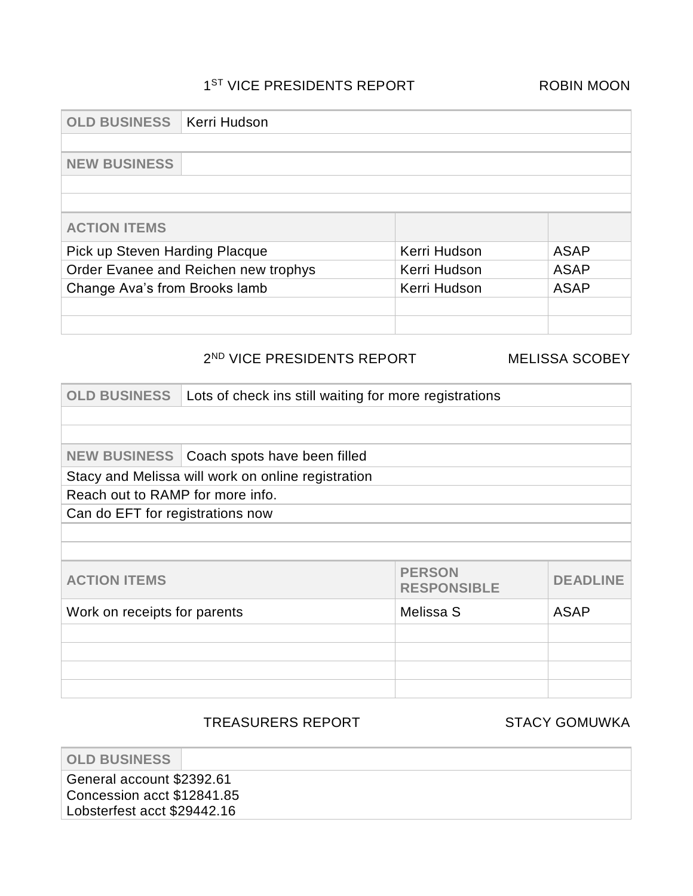### 1<sup>ST</sup> VICE PRESIDENTS REPORT ROBIN MOON

| <b>OLD BUSINESS</b>                  | Kerri Hudson |              |             |
|--------------------------------------|--------------|--------------|-------------|
|                                      |              |              |             |
| <b>NEW BUSINESS</b>                  |              |              |             |
|                                      |              |              |             |
|                                      |              |              |             |
| <b>ACTION ITEMS</b>                  |              |              |             |
| Pick up Steven Harding Placque       |              | Kerri Hudson | <b>ASAP</b> |
| Order Evanee and Reichen new trophys |              | Kerri Hudson | <b>ASAP</b> |
| Change Ava's from Brooks lamb        |              | Kerri Hudson | <b>ASAP</b> |
|                                      |              |              |             |
|                                      |              |              |             |

### 2 ND VICE PRESIDENTS REPORT MELISSA SCOBEY

| <b>OLD BUSINESS</b>              | Lots of check ins still waiting for more registrations |                                     |                 |
|----------------------------------|--------------------------------------------------------|-------------------------------------|-----------------|
|                                  |                                                        |                                     |                 |
|                                  |                                                        |                                     |                 |
|                                  | NEW BUSINESS   Coach spots have been filled            |                                     |                 |
|                                  | Stacy and Melissa will work on online registration     |                                     |                 |
| Reach out to RAMP for more info. |                                                        |                                     |                 |
| Can do EFT for registrations now |                                                        |                                     |                 |
|                                  |                                                        |                                     |                 |
|                                  |                                                        |                                     |                 |
| <b>ACTION ITEMS</b>              |                                                        | <b>PERSON</b><br><b>RESPONSIBLE</b> | <b>DEADLINE</b> |
| Work on receipts for parents     |                                                        | Melissa S                           | <b>ASAP</b>     |
|                                  |                                                        |                                     |                 |
|                                  |                                                        |                                     |                 |
|                                  |                                                        |                                     |                 |
|                                  |                                                        |                                     |                 |

TREASURERS REPORT STACY GOMUWKA

**OLD BUSINESS** General account \$2392.61 Concession acct \$12841.85 Lobsterfest acct \$29442.16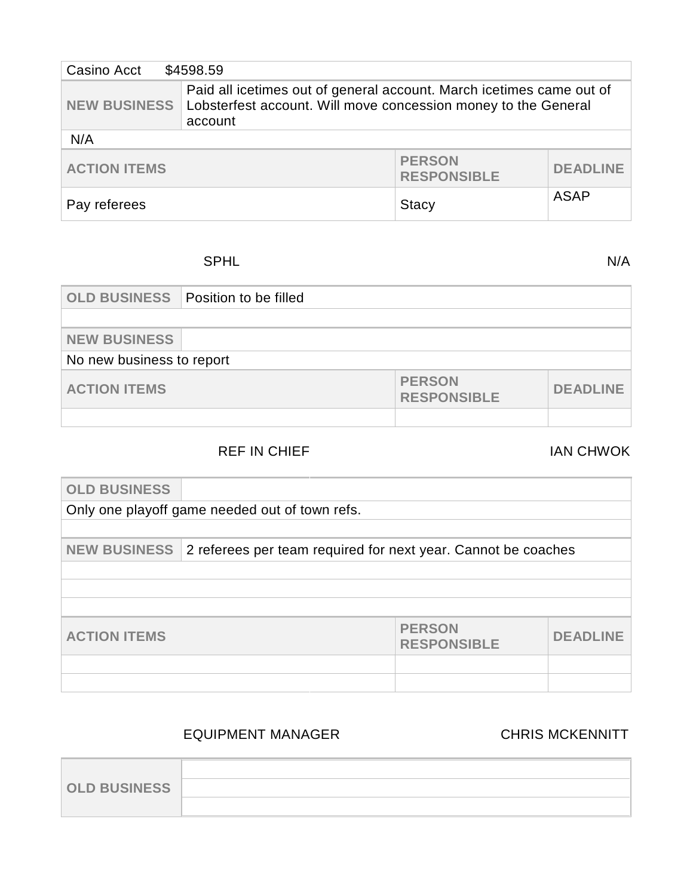| \$4598.59<br>Casino Acct                                   |                                                                                                                                                   |                 |             |
|------------------------------------------------------------|---------------------------------------------------------------------------------------------------------------------------------------------------|-----------------|-------------|
| <b>NEW BUSINESS</b>                                        | Paid all icetimes out of general account. March icetimes came out of<br>Lobsterfest account. Will move concession money to the General<br>account |                 |             |
| N/A                                                        |                                                                                                                                                   |                 |             |
| <b>PERSON</b><br><b>ACTION ITEMS</b><br><b>RESPONSIBLE</b> |                                                                                                                                                   | <b>DEADLINE</b> |             |
| Pay referees<br><b>Stacy</b>                               |                                                                                                                                                   |                 | <b>ASAP</b> |

### SPHL N/A

| <b>OLD BUSINESS</b>       | Position to be filled |                                     |                 |
|---------------------------|-----------------------|-------------------------------------|-----------------|
|                           |                       |                                     |                 |
| <b>NEW BUSINESS</b>       |                       |                                     |                 |
| No new business to report |                       |                                     |                 |
| <b>ACTION ITEMS</b>       |                       | <b>PERSON</b><br><b>RESPONSIBLE</b> | <b>DEADLINE</b> |
|                           |                       |                                     |                 |

# REF IN CHIEF IAN CHWOK

| <b>OLD BUSINESS</b> |                                                               |                                     |                |
|---------------------|---------------------------------------------------------------|-------------------------------------|----------------|
|                     | Only one playoff game needed out of town refs.                |                                     |                |
|                     |                                                               |                                     |                |
| <b>NEW BUSINESS</b> | 2 referees per team required for next year. Cannot be coaches |                                     |                |
|                     |                                                               |                                     |                |
|                     |                                                               |                                     |                |
|                     |                                                               |                                     |                |
| <b>ACTION ITEMS</b> |                                                               | <b>PERSON</b><br><b>RESPONSIBLE</b> | <b>DEADLIN</b> |
|                     |                                                               |                                     |                |
|                     |                                                               |                                     |                |

# EQUIPMENT MANAGER CHRIS MCKENNITT

| <b>OLD BUSINESS</b> |  |
|---------------------|--|
|                     |  |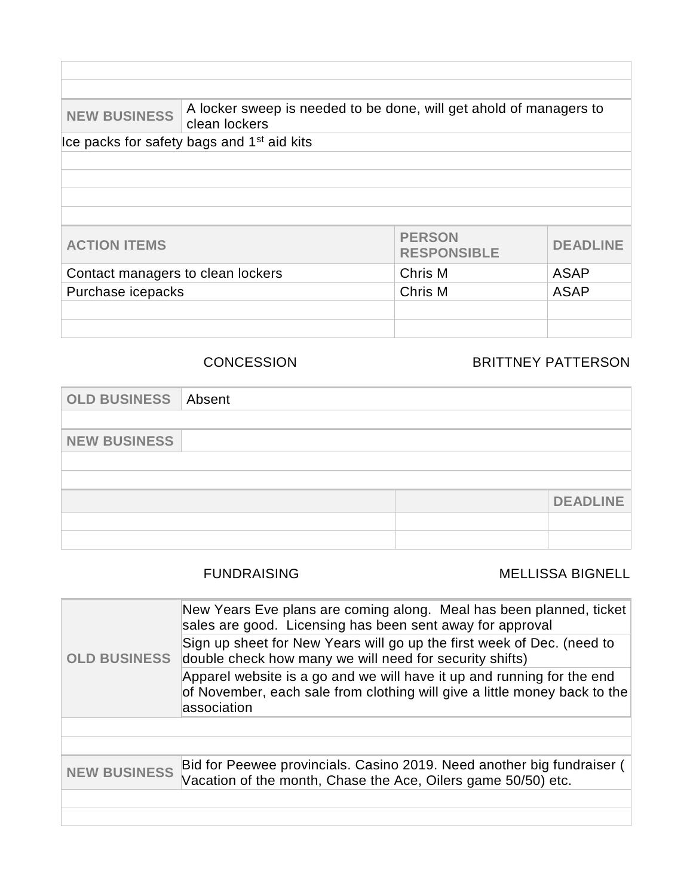| <b>NEW BUSINESS</b>               | clean lockers                                          | A locker sweep is needed to be done, will get ahold of managers to |                 |
|-----------------------------------|--------------------------------------------------------|--------------------------------------------------------------------|-----------------|
|                                   | Ice packs for safety bags and 1 <sup>st</sup> aid kits |                                                                    |                 |
|                                   |                                                        |                                                                    |                 |
|                                   |                                                        |                                                                    |                 |
|                                   |                                                        |                                                                    |                 |
|                                   |                                                        |                                                                    |                 |
| <b>ACTION ITEMS</b>               |                                                        | <b>PERSON</b><br><b>RESPONSIBLE</b>                                | <b>DEADLINE</b> |
| Contact managers to clean lockers |                                                        | Chris M                                                            | <b>ASAP</b>     |
| Purchase icepacks                 |                                                        | Chris M                                                            | <b>ASAP</b>     |
|                                   |                                                        |                                                                    |                 |
|                                   |                                                        |                                                                    |                 |

## CONCESSION BRITTNEY PATTERSON

| <b>OLD BUSINESS Absent</b> |  |                 |
|----------------------------|--|-----------------|
|                            |  |                 |
| <b>NEW BUSINESS</b>        |  |                 |
|                            |  |                 |
|                            |  |                 |
|                            |  | <b>DEADLINE</b> |
|                            |  |                 |
|                            |  |                 |

### FUNDRAISING MELLISSA BIGNELL

| <b>OLD BUSINESS</b> | New Years Eve plans are coming along. Meal has been planned, ticket<br>sales are good. Licensing has been sent away for approval                                    |  |
|---------------------|---------------------------------------------------------------------------------------------------------------------------------------------------------------------|--|
|                     | Sign up sheet for New Years will go up the first week of Dec. (need to<br>double check how many we will need for security shifts)                                   |  |
|                     | Apparel website is a go and we will have it up and running for the end<br>of November, each sale from clothing will give a little money back to the<br>lassociation |  |
|                     |                                                                                                                                                                     |  |
|                     |                                                                                                                                                                     |  |
| <b>NEW BUSINESS</b> | Bid for Peewee provincials. Casino 2019. Need another big fundraiser (<br>Vacation of the month, Chase the Ace, Oilers game 50/50) etc.                             |  |
|                     |                                                                                                                                                                     |  |
|                     |                                                                                                                                                                     |  |